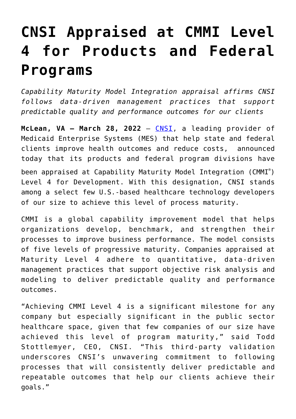## **[CNSI Appraised at CMMI Level](https://www.cns-inc.com/insights/press-releases/cnsi-appraised-at-cmmi-level-4-for-products-and-federal-programs/) [4 for Products and Federal](https://www.cns-inc.com/insights/press-releases/cnsi-appraised-at-cmmi-level-4-for-products-and-federal-programs/) [Programs](https://www.cns-inc.com/insights/press-releases/cnsi-appraised-at-cmmi-level-4-for-products-and-federal-programs/)**

*Capability Maturity Model Integration appraisal affirms CNSI follows data-driven management practices that support predictable quality and performance outcomes for our clients*

McLean, VA - March 28, 2022 - [CNSI,](https://www.cns-inc.com/) a leading provider of Medicaid Enterprise Systems (MES) that help state and federal clients improve health outcomes and reduce costs, announced today that its products and federal program divisions have been appraised at Capability Maturity Model Integration (CMMI®) Level 4 for Development. With this designation, CNSI stands among a select few U.S.-based healthcare technology developers of our size to achieve this level of process maturity.

CMMI is a global capability improvement model that helps organizations develop, benchmark, and strengthen their processes to improve business performance. The model consists of five levels of progressive maturity. Companies appraised at Maturity Level 4 adhere to quantitative, data-driven management practices that support objective risk analysis and modeling to deliver predictable quality and performance outcomes.

"Achieving CMMI Level 4 is a significant milestone for any company but especially significant in the public sector healthcare space, given that few companies of our size have achieved this level of program maturity," said Todd Stottlemyer, CEO, CNSI. "This third-party validation underscores CNSI's unwavering commitment to following processes that will consistently deliver predictable and repeatable outcomes that help our clients achieve their goals."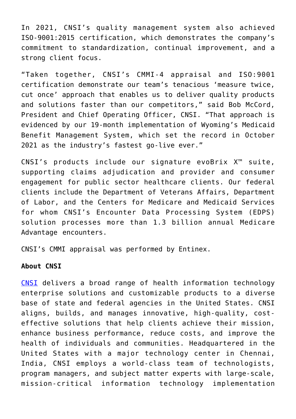In 2021, CNSI's quality management system also achieved ISO-9001:2015 certification, which demonstrates the company's commitment to standardization, continual improvement, and a strong client focus.

"Taken together, CNSI's CMMI-4 appraisal and ISO:9001 certification demonstrate our team's tenacious 'measure twice, cut once' approach that enables us to deliver quality products and solutions faster than our competitors," said Bob McCord, President and Chief Operating Officer, CNSI. "That approach is evidenced by our 19-month implementation of Wyoming's Medicaid Benefit Management System, which set the record in October 2021 as the industry's fastest go-live ever."

CNSI's products include our signature evoBrix X™ suite, supporting claims adjudication and provider and consumer engagement for public sector healthcare clients. Our federal clients include the Department of Veterans Affairs, Department of Labor, and the Centers for Medicare and Medicaid Services for whom CNSI's Encounter Data Processing System (EDPS) solution processes more than 1.3 billion annual Medicare Advantage encounters.

CNSI's CMMI appraisal was performed by Entinex.

## **About CNSI**

[CNSI](https://www.cns-inc.com/) delivers a broad range of health information technology enterprise solutions and customizable products to a diverse base of state and federal agencies in the United States. CNSI aligns, builds, and manages innovative, high-quality, costeffective solutions that help clients achieve their mission, enhance business performance, reduce costs, and improve the health of individuals and communities. Headquartered in the United States with a major technology center in Chennai, India, CNSI employs a world-class team of technologists, program managers, and subject matter experts with large-scale, mission-critical information technology implementation